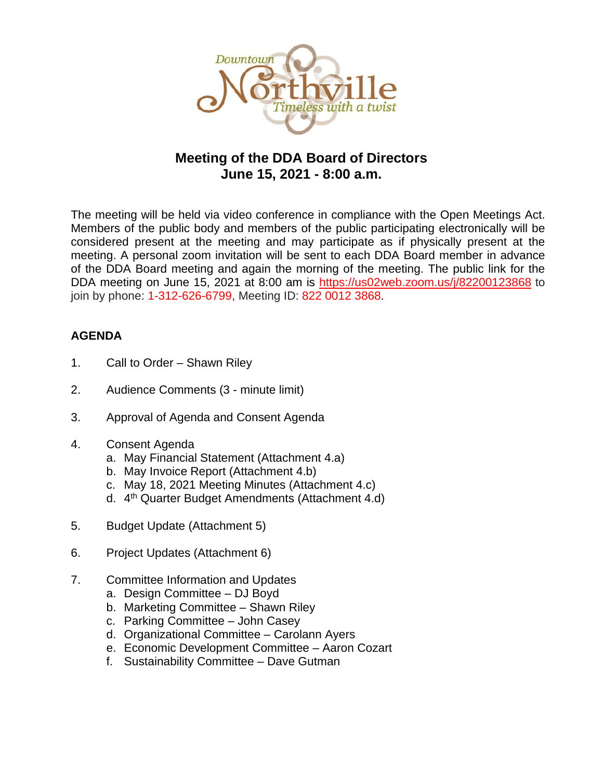

# **Meeting of the DDA Board of Directors June 15, 2021 - 8:00 a.m.**

The meeting will be held via video conference in compliance with the Open Meetings Act. Members of the public body and members of the public participating electronically will be considered present at the meeting and may participate as if physically present at the meeting. A personal zoom invitation will be sent to each DDA Board member in advance of the DDA Board meeting and again the morning of the meeting. The public link for the DDA meeting on June 15, 2021 at 8:00 am is <https://us02web.zoom.us/j/82200123868> to join by phone: 1-312-626-6799, Meeting ID: 822 0012 3868.

# **AGENDA**

- 1. Call to Order Shawn Riley
- 2. Audience Comments (3 minute limit)
- 3. Approval of Agenda and Consent Agenda
- 4. Consent Agenda
	- a. May Financial Statement (Attachment 4.a)
	- b. May Invoice Report (Attachment 4.b)
	- c. May 18, 2021 Meeting Minutes (Attachment 4.c)
	- d. 4th Quarter Budget Amendments (Attachment 4.d)
- 5. Budget Update (Attachment 5)
- 6. Project Updates (Attachment 6)
- 7. Committee Information and Updates
	- a. Design Committee DJ Boyd
	- b. Marketing Committee Shawn Riley
	- c. Parking Committee John Casey
	- d. Organizational Committee Carolann Ayers
	- e. Economic Development Committee Aaron Cozart
	- f. Sustainability Committee Dave Gutman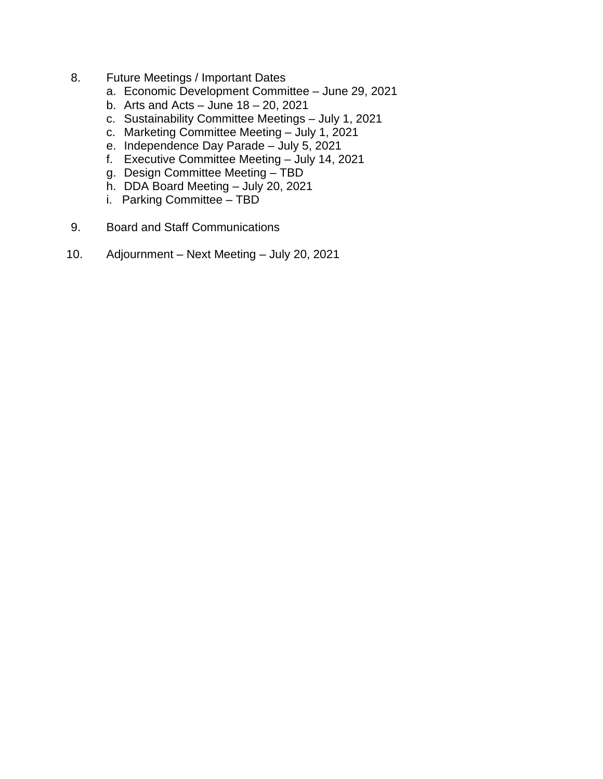- 8. Future Meetings / Important Dates
	- a. Economic Development Committee June 29, 2021
	- b. Arts and Acts  $-$  June 18  $-$  20, 2021
	- c. Sustainability Committee Meetings July 1, 2021
	- c. Marketing Committee Meeting July 1, 2021
	- e. Independence Day Parade July 5, 2021
	- f. Executive Committee Meeting July 14, 2021
	- g. Design Committee Meeting TBD
	- h. DDA Board Meeting July 20, 2021
	- i. Parking Committee TBD
- 9. Board and Staff Communications
- 10. Adjournment Next Meeting July 20, 2021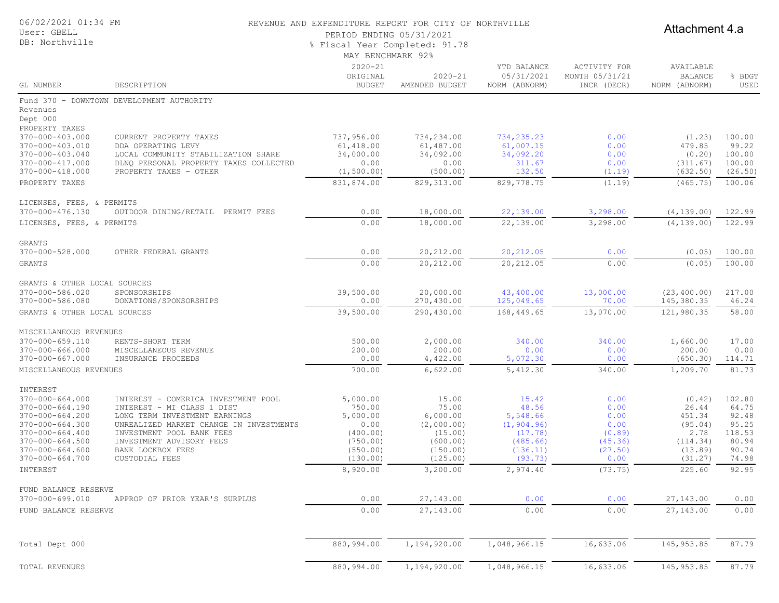| 06/02/2021 01:34 PM<br>User: GBELL<br>DB: Northville                                                                                                                          |                                                                                                                                                                                           | REVENUE AND EXPENDITURE REPORT FOR CITY OF NORTHVILLE<br>PERIOD ENDING 05/31/2021<br>% Fiscal Year Completed: 91.78<br>MAY BENCHMARK 92% | Attachment 4.a                                                          |                                                                        |                                                  |                                                                  |                                                          |
|-------------------------------------------------------------------------------------------------------------------------------------------------------------------------------|-------------------------------------------------------------------------------------------------------------------------------------------------------------------------------------------|------------------------------------------------------------------------------------------------------------------------------------------|-------------------------------------------------------------------------|------------------------------------------------------------------------|--------------------------------------------------|------------------------------------------------------------------|----------------------------------------------------------|
| GL NUMBER                                                                                                                                                                     | DESCRIPTION                                                                                                                                                                               | $2020 - 21$<br>ORIGINAL<br><b>BUDGET</b>                                                                                                 | $2020 - 21$<br>AMENDED BUDGET                                           | YTD BALANCE<br>05/31/2021<br>NORM (ABNORM)                             | ACTIVITY FOR<br>MONTH 05/31/21<br>INCR (DECR)    | AVAILABLE<br><b>BALANCE</b><br>NORM (ABNORM)                     | BDGT<br>USED                                             |
| Fund 370<br>$\sim$<br>Revenues<br>Dept 000<br>PROPERTY TAXES<br>370-000-403.000<br>370-000-403.010<br>370-000-403.040<br>370-000-417.000<br>370-000-418.000<br>PROPERTY TAXES | DOWNTOWN DEVELOPMENT AUTHORITY<br>CURRENT PROPERTY TAXES<br>DDA OPERATING LEVY<br>LOCAL COMMUNITY STABILIZATION SHARE<br>DLNO PERSONAL PROPERTY TAXES COLLECTED<br>PROPERTY TAXES - OTHER | 737,956.00<br>61,418.00<br>34,000.00<br>0.00<br>(1, 500.00)<br>831,874.00                                                                | 734,234.00<br>61,487.00<br>34,092.00<br>0.00<br>(500.00)<br>829, 313.00 | 734,235.23<br>61,007.15<br>34,092.20<br>311.67<br>132.50<br>829,778.75 | 0.00<br>0.00<br>0.00<br>0.00<br>(1.19)<br>(1.19) | (1, 23)<br>479.85<br>(0, 20)<br>(311.67)<br>(632.50)<br>(465.75) | 100.00<br>99.22<br>100.00<br>100.00<br>(26.50)<br>100.06 |
| LICENSES, FEES, & PERMITS<br>370-000-476.130<br>LICENSES, FEES, & PERMITS                                                                                                     | OUTDOOR DINING/RETAIL<br>PERMIT FEES                                                                                                                                                      | 0.00<br>0.00                                                                                                                             | 18,000.00<br>18,000.00                                                  | 22,139.00<br>22,139.00                                                 | 3,298.00<br>3,298.00                             | (4, 139.00)<br>(4, 139, 00)                                      | 122.99<br>122.99                                         |

| 370-000-528.000              | OTHER FEDERAL GRANTS   | 0.00              | 20,212.00            | 20,212.05     | 0.00          | (0.05)        | 100.00                             |
|------------------------------|------------------------|-------------------|----------------------|---------------|---------------|---------------|------------------------------------|
| GRANTS                       |                        | 0.00              | 20,212.00            | 20,212.05     | 0.00          | (0.05)        | 100.00                             |
| GRANTS & OTHER LOCAL SOURCES |                        |                   |                      |               |               |               |                                    |
| 370-000-586.020              | SPONSORSHIPS           | 39,500.00         | 20,000.00            | 43,400.00     | 13,000.00     | (23, 400, 00) | 217.00                             |
| 370-000-586.080              | DONATIONS/SPONSORSHIPS | 0.00              | 270,430.00           | 125,049.65    | 70.00         | 145,380.35    | 46.24                              |
| GRANTS & OTHER LOCAL SOURCES |                        | 39,500.00         | 290,430.00           | 168,449.65    | 13,070.00     | 121,980.35    | 58.00                              |
| MISCELLANEOUS REVENUES       |                        |                   |                      |               |               |               |                                    |
| 370-000-659.110              | RENTS-SHORT TERM       | 500.00            | 2,000.00             | 340.00        | 340.00        | 1,660.00      | 17.00                              |
| $370 - 000 - 666.000$        | MISCELLANEOUS REVENUE  | 200.00            | 200.00               | 0.00          | 0.00          | 200.00        | 0.00                               |
| 370-000-667.000              | INSURANCE PROCEEDS     | 0.00              | 4,422.00             | 5,072.30      | 0.00          | (650.30)      | 114.71                             |
| MISCELLANEOUS REVENUES       |                        | 700.00            | 6,622.00             | 5,412.30      | 340.00        | 1,209.70      | 81.73                              |
| INTEREST                     |                        |                   |                      |               |               |               |                                    |
| 27.2000771000                | $\ldots$               | $\Gamma$ 0.00 0.0 | $\sim$ $\sim$ $\sim$ | $\sim$ $\sim$ | $\sim$ $\sim$ |               | $\sim$ $\sim$ $\sim$ $\sim$ $\sim$ |

GRANTS<br>370-000-528.000

|                       |                                            |            | $-1 - - - - -$ |              |           |             |        |
|-----------------------|--------------------------------------------|------------|----------------|--------------|-----------|-------------|--------|
| INTEREST              |                                            |            |                |              |           |             |        |
| 370-000-664.000       | INTEREST - COMERICA INVESTMENT POOL        | 5,000.00   | 15.00          | 15.42        | 0.00      | (0.42)      | 102.80 |
| 370-000-664.190       | CLASS 1 DIST<br>INTEREST -<br>MT.          | 750.00     | 75.00          | 48.56        | 0.00      | 26.44       | 64.75  |
| 370-000-664.200       | INVESTMENT EARNINGS<br>LONG TERM           | 5,000.00   | 6,000.00       | 5,548.66     | 0.00      | 451.34      | 92.48  |
| 370-000-664.300       | MARKET CHANGE IN INVESTMENTS<br>UNREALIZED | 0.00       | (2,000.00)     | (1, 904.96)  | 0.00      | (95.04)     | 95.25  |
| $370 - 000 - 664.400$ | INVESTMENT POOL BANK FEES                  | (400.00)   | (15.00)        | (17.78)      | (0.89)    | 2.78        | 118.53 |
| 370-000-664.500       | INVESTMENT ADVISORY FEES                   | (750.00)   | (600.00)       | (485.66)     | (45.36)   | (114.34)    | 80.94  |
| 370-000-664.600       | BANK LOCKBOX FEES                          | (550.00)   | (150.00)       | (136.11)     | (27.50)   | (13.89)     | 90.74  |
| 370-000-664.700       | CUSTODIAL FEES                             | (130.00)   | (125.00)       | (93.73)      | 0.00      | (31.27)     | 74.98  |
| INTEREST              |                                            | 8,920.00   | 3,200.00       | 2,974.40     | (73.75)   | 225.60      | 92.95  |
| FUND BALANCE RESERVE  |                                            |            |                |              |           |             |        |
| 370-000-699.010       | APPROP OF PRIOR YEAR'S SURPLUS             | 0.00       | 27,143.00      | 0.00         | 0.00      | 27,143.00   | 0.00   |
| FUND BALANCE RESERVE  |                                            | 0.00       | 27,143.00      | 0.00         | 0.00      | 27,143.00   | 0.00   |
| Total Dept 000        |                                            | 880,994.00 | 1,194,920.00   | 1,048,966.15 | 16,633.06 | 145, 953.85 | 87.79  |
| TOTAL REVENUES        |                                            | 880,994.00 | 1,194,920.00   | 1,048,966.15 | 16,633.06 | 145, 953.85 | 87.79  |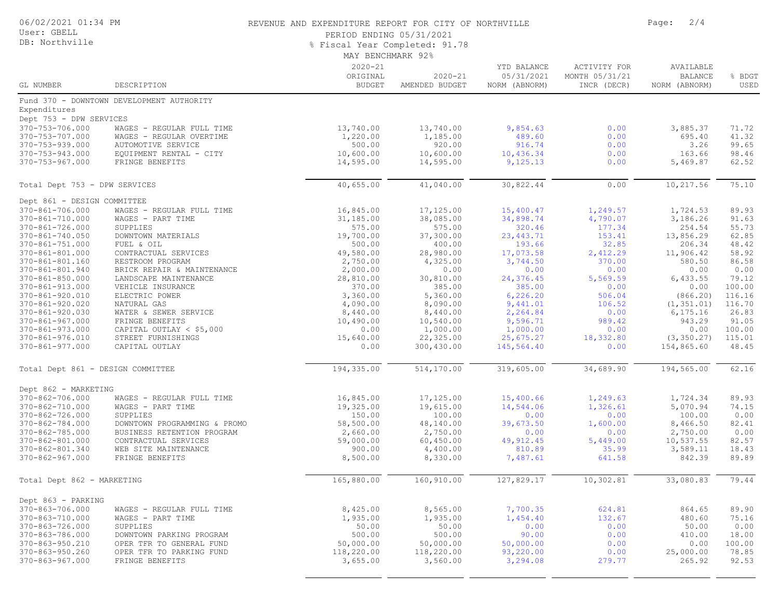|  | 06/02/2021 01:34 PM |  |
|--|---------------------|--|
|  |                     |  |

#### User: GBELL DB: Northville

#### REVENUE AND EXPENDITURE REPORT FOR CITY OF NORTHVILLE **FOR ALL PAGE:** 2/4

PERIOD ENDING 05/31/2021

% Fiscal Year Completed: 91.78

|                                         |                                                      | MAY BENCHMARK 92%                        |                               |                                            |                                               |                                              |                  |
|-----------------------------------------|------------------------------------------------------|------------------------------------------|-------------------------------|--------------------------------------------|-----------------------------------------------|----------------------------------------------|------------------|
| GL NUMBER                               | DESCRIPTION                                          | $2020 - 21$<br>ORIGINAL<br><b>BUDGET</b> | $2020 - 21$<br>AMENDED BUDGET | YTD BALANCE<br>05/31/2021<br>NORM (ABNORM) | ACTIVITY FOR<br>MONTH 05/31/21<br>INCR (DECR) | AVAILABLE<br><b>BALANCE</b><br>NORM (ABNORM) | % BDGT<br>USED   |
|                                         | Fund 370 - DOWNTOWN DEVELOPMENT AUTHORITY            |                                          |                               |                                            |                                               |                                              |                  |
| Expenditures                            |                                                      |                                          |                               |                                            |                                               |                                              |                  |
| Dept 753 - DPW SERVICES                 |                                                      |                                          |                               |                                            |                                               |                                              |                  |
| 370-753-706.000                         | WAGES - REGULAR FULL TIME                            | 13,740.00                                | 13,740.00                     | 9,854.63                                   | 0.00                                          | 3,885.37                                     | 71.72            |
| 370-753-707.000                         | WAGES - REGULAR OVERTIME                             | 1,220.00                                 | 1,185.00                      | 489.60                                     | 0.00                                          | 695.40                                       | 41.32            |
| 370-753-939.000                         | AUTOMOTIVE SERVICE                                   | 500.00                                   | 920.00                        | 916.74                                     | 0.00                                          | 3.26                                         | 99.65            |
| 370-753-943.000                         | EQUIPMENT RENTAL - CITY                              | 10,600.00                                | 10,600.00                     | 10,436.34                                  | 0.00                                          | 163.66                                       | 98.46            |
| 370-753-967.000                         | FRINGE BENEFITS                                      | 14,595.00                                | 14,595.00                     | 9,125.13                                   | 0.00                                          | 5,469.87                                     | 62.52            |
| Total Dept 753 - DPW SERVICES           |                                                      | 40,655.00                                | 41,040.00                     | 30,822.44                                  | 0.00                                          | 10,217.56                                    | 75.10            |
| Dept 861 - DESIGN COMMITTEE             |                                                      |                                          |                               |                                            |                                               |                                              |                  |
| 370-861-706.000                         | WAGES - REGULAR FULL TIME                            | 16,845.00                                | 17,125.00                     | 15,400.47                                  | 1,249.57                                      | 1,724.53                                     | 89.93            |
| 370-861-710.000                         | WAGES - PART TIME                                    | 31,185.00                                | 38,085.00                     | 34,898.74                                  | 4,790.07                                      | 3,186.26                                     | 91.63            |
| 370-861-726.000                         | SUPPLIES                                             | 575.00                                   | 575.00                        | 320.46                                     | 177.34                                        | 254.54                                       | 55.73            |
| 370-861-740.050                         | DOWNTOWN MATERIALS                                   | 19,700.00                                | 37,300.00                     | 23, 443.71                                 | 153.41                                        | 13,856.29                                    | 62.85            |
| 370-861-751.000                         | FUEL & OIL                                           | 500.00                                   | 400.00                        | 193.66                                     | 32.85                                         | 206.34                                       | 48.42            |
| 370-861-801.000                         | CONTRACTUAL SERVICES                                 | 49,580.00                                | 28,980.00                     | 17,073.58                                  | 2,412.29                                      | 11,906.42                                    | 58.92            |
| 370-861-801.160                         | RESTROOM PROGRAM                                     | 2,750.00                                 | 4,325.00                      | 3,744.50                                   | 370.00                                        | 580.50                                       | 86.58            |
| 370-861-801.940                         | BRICK REPAIR & MAINTENANCE                           | 2,000.00                                 | 0.00                          | 0.00                                       | 0.00                                          | 0.00                                         | 0.00             |
| 370-861-850.000                         | LANDSCAPE MAINTENANCE                                | 28,810.00                                | 30,810.00                     | 24,376.45                                  | 5,569.59                                      | 6,433.55                                     | 79.12            |
| 370-861-913.000                         | VEHICLE INSURANCE                                    | 370.00<br>3,360.00                       | 385.00<br>5,360.00            | 385.00<br>6, 226.20                        | 0.00<br>506.04                                | 0.00                                         | 100.00<br>116.16 |
| 370-861-920.010<br>370-861-920.020      | ELECTRIC POWER<br>NATURAL GAS                        | 4,090.00                                 | 8,090.00                      | 9,441.01                                   | 106.52                                        | (866.20)<br>(1, 351.01)                      | 116.70           |
| 370-861-920.030                         | WATER & SEWER SERVICE                                | 8,440.00                                 | 8,440.00                      | 2,264.84                                   | 0.00                                          | 6, 175.16                                    | 26.83            |
| $370 - 861 - 967.000$                   | FRINGE BENEFITS                                      | 10,490.00                                | 10,540.00                     | 9,596.71                                   | 989.42                                        | 943.29                                       | 91.05            |
| 370-861-973.000                         | CAPITAL OUTLAY < \$5,000                             | 0.00                                     | 1,000.00                      | 1,000.00                                   | 0.00                                          | 0.00                                         | 100.00           |
| 370-861-976.010                         | STREET FURNISHINGS                                   | 15,640.00                                | 22,325.00                     | 25,675.27                                  | 18,332.80                                     | (3, 350.27)                                  | 115.01           |
| 370-861-977.000                         | CAPITAL OUTLAY                                       | 0.00                                     | 300,430.00                    | 145,564.40                                 | 0.00                                          | 154,865.60                                   | 48.45            |
| Total Dept 861 - DESIGN COMMITTEE       |                                                      | 194,335.00                               | 514,170.00                    | 319,605.00                                 | 34,689.90                                     | 194,565.00                                   | 62.16            |
|                                         |                                                      |                                          |                               |                                            |                                               |                                              |                  |
| Dept 862 - MARKETING<br>370-862-706.000 | WAGES - REGULAR FULL TIME                            |                                          | 17,125.00                     |                                            |                                               |                                              | 89.93            |
| 370-862-710.000                         | WAGES - PART TIME                                    | 16,845.00<br>19,325.00                   | 19,615.00                     | 15,400.66<br>14,544.06                     | 1,249.63<br>1,326.61                          | 1,724.34<br>5,070.94                         | 74.15            |
| 370-862-726.000                         | SUPPLIES                                             | 150.00                                   | 100.00                        | 0.00                                       | 0.00                                          | 100.00                                       | 0.00             |
| 370-862-784.000                         | DOWNTOWN PROGRAMMING & PROMO                         | 58,500.00                                | 48,140.00                     | 39,673.50                                  | 1,600.00                                      | 8,466.50                                     | 82.41            |
| 370-862-785.000                         | BUSINESS RETENTION PROGRAM                           | 2,660.00                                 | 2,750.00                      | 0.00                                       | 0.00                                          | 2,750.00                                     | 0.00             |
| 370-862-801.000                         | CONTRACTUAL SERVICES                                 | 59,000.00                                | 60,450.00                     | 49, 912.45                                 | 5,449.00                                      | 10,537.55                                    | 82.57            |
| 370-862-801.340                         | WEB SITE MAINTENANCE                                 | 900.00                                   | 4,400.00                      | 810.89                                     | 35.99                                         | 3,589.11                                     | 18.43            |
| $370 - 862 - 967.000$                   | FRINGE BENEFITS                                      | 8,500.00                                 | 8,330.00                      | 7,487.61                                   | 641.58                                        | 842.39                                       | 89.89            |
| Total Dept 862 - MARKETING              |                                                      | 165,880.00                               | 160,910.00                    | 127,829.17                                 | 10,302.81                                     | 33,080.83                                    | 79.44            |
|                                         |                                                      |                                          |                               |                                            |                                               |                                              |                  |
| Dept 863 - PARKING                      |                                                      |                                          |                               |                                            |                                               |                                              |                  |
| 370-863-706.000                         | WAGES - REGULAR FULL TIME                            | 8,425.00                                 | 8,565.00                      | 7,700.35                                   | 624.81                                        | 864.65                                       | 89.90            |
| 370-863-710.000                         | WAGES - PART TIME                                    | 1,935.00                                 | 1,935.00                      | 1,454.40                                   | 132.67                                        | 480.60                                       | 75.16            |
| 370-863-726.000                         | SUPPLIES                                             | 50.00                                    | 50.00                         | 0.00                                       | 0.00                                          | 50.00                                        | 0.00             |
| 370-863-786.000                         | DOWNTOWN PARKING PROGRAM                             | 500.00                                   | 500.00                        | 90.00                                      | 0.00                                          | 410.00                                       | 18.00            |
| 370-863-950.210<br>370-863-950.260      | OPER TFR TO GENERAL FUND<br>OPER TFR TO PARKING FUND | 50,000.00<br>118,220.00                  | 50,000.00<br>118,220.00       | 50,000.00<br>93,220.00                     | 0.00<br>0.00                                  | 0.00<br>25,000.00                            | 100.00<br>78.85  |
| 370-863-967.000                         | FRINGE BENEFITS                                      | 3,655.00                                 | 3,560.00                      | 3,294.08                                   | 279.77                                        | 265.92                                       | 92.53            |
|                                         |                                                      |                                          |                               |                                            |                                               |                                              |                  |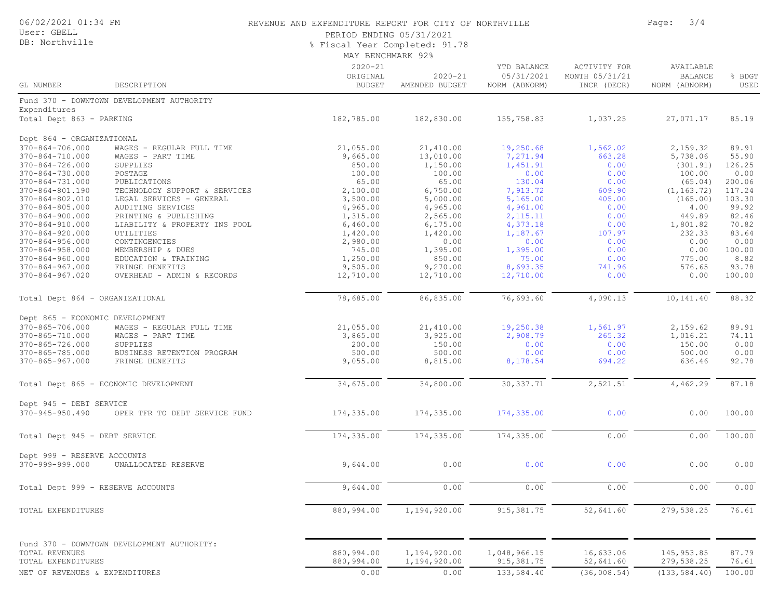#### User: GBELL DB: Northville

#### 06/02/2021 01:34 PM REVENUE AND EXPENDITURE REPORT FOR CITY OF NORTHVILLE PAGE: 3/4

PERIOD ENDING 05/31/2021

% Fiscal Year Completed: 91.78

| MAY BENCHMARK 92% |  |
|-------------------|--|
|-------------------|--|

| GL NUMBER                                      | DESCRIPTION                                   | $2020 - 21$<br>ORIGINAL<br><b>BUDGET</b> | $2020 - 21$<br>AMENDED BUDGET | YTD BALANCE<br>05/31/2021<br>NORM (ABNORM) | <b>ACTIVITY FOR</b><br>MONTH 05/31/21<br>INCR (DECR) | AVAILABLE<br><b>BALANCE</b><br>NORM (ABNORM) | % BDGT<br>USED  |
|------------------------------------------------|-----------------------------------------------|------------------------------------------|-------------------------------|--------------------------------------------|------------------------------------------------------|----------------------------------------------|-----------------|
|                                                | Fund 370 - DOWNTOWN DEVELOPMENT AUTHORITY     |                                          |                               |                                            |                                                      |                                              |                 |
| Expenditures                                   |                                               |                                          |                               |                                            |                                                      |                                              |                 |
| Total Dept 863 - PARKING                       |                                               | 182,785.00                               | 182,830.00                    | 155,758.83                                 | 1,037.25                                             | 27,071.17                                    | 85.19           |
|                                                |                                               |                                          |                               |                                            |                                                      |                                              |                 |
| Dept 864 - ORGANIZATIONAL                      |                                               |                                          |                               |                                            |                                                      |                                              |                 |
| 370-864-706.000                                | WAGES - REGULAR FULL TIME                     | 21,055.00                                | 21,410.00                     | 19,250.68                                  | 1,562.02                                             | 2,159.32                                     | 89.91           |
| 370-864-710.000                                | WAGES - PART TIME                             | 9,665.00                                 | 13,010.00                     | 7,271.94                                   | 663.28                                               | 5,738.06                                     | 55.90           |
| 370-864-726.000                                | SUPPLIES                                      | 850.00                                   | 1,150.00                      | 1,451.91                                   | 0.00                                                 | (301.91)                                     | 126.25          |
| 370-864-730.000                                | POSTAGE                                       | 100.00                                   | 100.00                        | 0.00                                       | 0.00                                                 | 100.00                                       | 0.00            |
| 370-864-731.000                                | PUBLICATIONS                                  | 65.00                                    | 65.00                         | 130.04                                     | 0.00                                                 | (65.04)                                      | 200.06          |
| 370-864-801.190                                | TECHNOLOGY SUPPORT & SERVICES                 | 2,100.00                                 | 6,750.00                      | 7,913.72                                   | 609.90                                               | (1, 163.72)                                  | 117.24          |
| 370-864-802.010                                | LEGAL SERVICES - GENERAL                      | 3,500.00                                 | 5,000.00                      | 5,165.00                                   | 405.00                                               | (165.00)                                     | 103.30          |
| $370 - 864 - 805.000$                          | AUDITING SERVICES                             | 4,965.00                                 | 4,965.00                      | 4,961.00                                   | 0.00                                                 | 4.00                                         | 99.92           |
| 370-864-900.000                                | PRINTING & PUBLISHING                         | 1,315.00                                 | 2,565.00                      | 2, 115.11                                  | 0.00                                                 | 449.89                                       | 82.46           |
| 370-864-910.000                                | LIABILITY & PROPERTY INS POOL                 | 6,460.00                                 | 6, 175.00                     | 4,373.18                                   | 0.00                                                 | 1,801.82                                     | 70.82           |
| 370-864-920.000                                | UTILITIES                                     | 1,420.00                                 | 1,420.00                      | 1,187.67                                   | 107.97                                               | 232.33                                       | 83.64           |
| $370 - 864 - 956.000$                          | CONTINGENCIES                                 | 2,980.00                                 | 0.00                          | 0.00                                       | 0.00                                                 | 0.00                                         | 0.00            |
| 370-864-958.000                                | MEMBERSHIP & DUES                             | 745.00                                   | 1,395.00                      | 1,395.00                                   | 0.00                                                 | 0.00                                         | 100.00          |
| $370 - 864 - 960.000$                          | EDUCATION & TRAINING                          | 1,250.00                                 | 850.00                        | 75.00                                      | 0.00                                                 | 775.00                                       | 8.82            |
| $370 - 864 - 967.000$<br>$370 - 864 - 967.020$ | FRINGE BENEFITS<br>OVERHEAD - ADMIN & RECORDS | 9,505.00                                 | 9,270.00                      | 8,693.35                                   | 741.96<br>0.00                                       | 576.65<br>0.00                               | 93.78<br>100.00 |
|                                                |                                               | 12,710.00                                | 12,710.00                     | 12,710.00                                  |                                                      |                                              |                 |
| Total Dept 864 - ORGANIZATIONAL                |                                               | 78,685.00                                | 86,835.00                     | 76,693.60                                  | 4,090.13                                             | 10,141.40                                    | 88.32           |
|                                                |                                               |                                          |                               |                                            |                                                      |                                              |                 |
| Dept 865 - ECONOMIC DEVELOPMENT                |                                               |                                          |                               |                                            |                                                      |                                              |                 |
| 370-865-706.000<br>370-865-710.000             | WAGES - REGULAR FULL TIME                     | 21,055.00                                | 21,410.00                     | 19,250.38                                  | 1,561.97<br>265.32                                   | 2,159.62                                     | 89.91<br>74.11  |
| 370-865-726.000                                | WAGES - PART TIME<br>SUPPLIES                 | 3,865.00<br>200.00                       | 3,925.00<br>150.00            | 2,908.79<br>0.00                           | 0.00                                                 | 1,016.21<br>150.00                           | 0.00            |
| 370-865-785.000                                | BUSINESS RETENTION PROGRAM                    | 500.00                                   | 500.00                        | 0.00                                       | 0.00                                                 | 500.00                                       | 0.00            |
| 370-865-967.000                                | FRINGE BENEFITS                               | 9,055.00                                 | 8,815.00                      | 8,178.54                                   | 694.22                                               | 636.46                                       | 92.78           |
|                                                |                                               |                                          |                               |                                            |                                                      |                                              |                 |
|                                                | Total Dept 865 - ECONOMIC DEVELOPMENT         | 34,675.00                                | 34,800.00                     | 30, 337.71                                 | 2,521.51                                             | 4,462.29                                     | 87.18           |
| Dept 945 - DEBT SERVICE                        |                                               |                                          |                               |                                            |                                                      |                                              |                 |
| $370 - 945 - 950.490$                          | OPER TFR TO DEBT SERVICE FUND                 | 174,335.00                               | 174,335.00                    | 174,335.00                                 | 0.00                                                 | 0.00                                         | 100.00          |
|                                                |                                               |                                          |                               |                                            |                                                      |                                              |                 |
| Total Dept 945 - DEBT SERVICE                  |                                               | 174,335.00                               | 174,335.00                    | 174,335.00                                 | 0.00                                                 | 0.00                                         | 100.00          |
| Dept 999 - RESERVE ACCOUNTS                    |                                               |                                          |                               |                                            |                                                      |                                              |                 |
| 370-999-999.000                                | UNALLOCATED RESERVE                           | 9,644.00                                 | 0.00                          | 0.00                                       | 0.00                                                 | 0.00                                         | 0.00            |
| Total Dept 999 - RESERVE ACCOUNTS              |                                               | 9,644.00                                 | 0.00                          | 0.00                                       | 0.00                                                 | 0.00                                         | 0.00            |
|                                                |                                               |                                          |                               |                                            |                                                      |                                              |                 |
| TOTAL EXPENDITURES                             |                                               | 880,994.00                               | 1,194,920.00                  | 915, 381.75                                | 52,641.60                                            | 279,538.25                                   | 76.61           |
|                                                |                                               |                                          |                               |                                            |                                                      |                                              |                 |
|                                                | Fund 370 - DOWNTOWN DEVELOPMENT AUTHORITY:    |                                          |                               |                                            |                                                      |                                              |                 |
| TOTAL REVENUES                                 |                                               | 880,994.00                               | 1,194,920.00                  | 1,048,966.15                               | 16,633.06                                            | 145, 953.85                                  | 87.79           |
| TOTAL EXPENDITURES                             |                                               | 880,994.00                               | 1,194,920.00                  | 915, 381.75                                | 52,641.60                                            | 279,538.25                                   | 76.61           |
| NET OF REVENUES & EXPENDITURES                 |                                               | 0.00                                     | 0.00                          | 133,584.40                                 | (36,008.54)                                          | (133, 584.40)                                | 100.00          |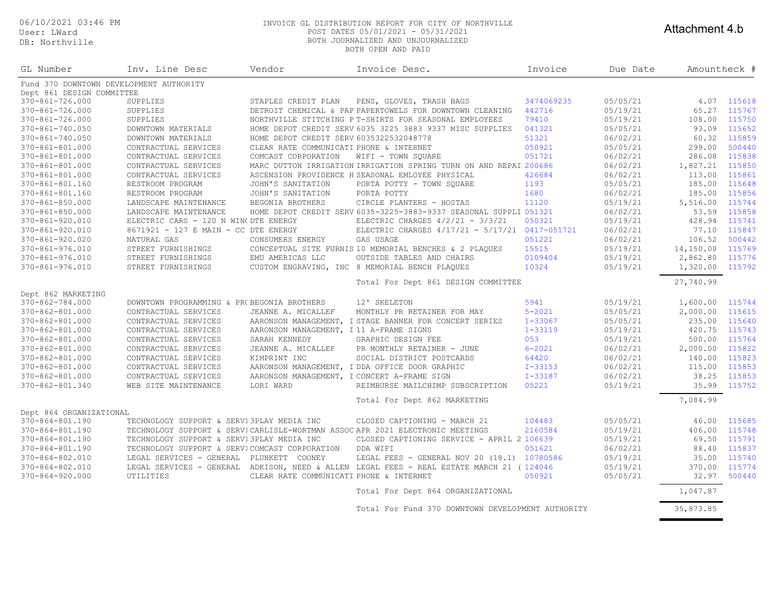User: LWard DB: No

#### 06/10/2021 03:46 PM INVOICE GL DISTRIBUTION REPORT FOR CITY OF NORTHVILLE POST DATES 05/01/2021 - 05/31/2021 BOTH JOURNALIZED AND UNJOURNALIZED

#### Attachment 4.b

| DB: Northville                               |                                            |                                         | BOTH JOURNALIZED AND UNJOURNALIZED<br>BOTH OPEN AND PAID          |             |                                         |                 |        |
|----------------------------------------------|--------------------------------------------|-----------------------------------------|-------------------------------------------------------------------|-------------|-----------------------------------------|-----------------|--------|
| GL Number                                    | Inv. Line Desc                             | Vendor                                  | Invoice Desc.                                                     | Invoice     | Due Date                                | Amountheck #    |        |
| Fund 370 DOWNTOWN DEVELOPMENT AUTHORITY      |                                            |                                         |                                                                   |             |                                         |                 |        |
| Dept 861 DESIGN COMMITTEE<br>370-861-726.000 |                                            |                                         |                                                                   | 3474069235  | 05/05/21                                |                 | 115618 |
|                                              | SUPPLIES                                   | STAPLES CREDIT PLAN                     | PENS, GLOVES, TRASH BAGS                                          | 442716      |                                         | 4.07            | 115767 |
| 370-861-726.000                              | SUPPLIES                                   |                                         | DETROIT CHEMICAL & PAP PAPERTOWELS FOR DOWNTOWN CLEANING          |             | 05/19/21                                | 65.27           | 115750 |
| 370-861-726.000                              | SUPPLIES                                   |                                         | NORTHVILLE STITCHING P T-SHIRTS FOR SEASONAL EMPLOYEES            | 79410       | 05/19/21                                | 108.00          |        |
| 370-861-740.050                              | DOWNTOWN MATERIALS                         |                                         | HOME DEPOT CREDIT SERV 6035 3225 3883 9337 MISC SUPPLIES          | 041321      | 05/05/21                                | 93.09           | 115652 |
| 370-861-740.050                              | DOWNTOWN MATERIALS                         | HOME DEPOT CREDIT SERV 6035322532048778 |                                                                   | 51321       | 06/02/21                                | 60.32           | 115859 |
| 370-861-801.000                              | CONTRACTUAL SERVICES                       | CLEAR RATE COMMUNICATI PHONE & INTERNET |                                                                   | 050921      | 05/05/21                                | 299.00          | 500440 |
| 370-861-801.000                              | CONTRACTUAL SERVICES                       | COMCAST CORPORATION                     | WIFI - TOWN SOUARE                                                | 051721      | 06/02/21                                | 286.08          | 115838 |
| 370-861-801.000                              | CONTRACTUAL SERVICES                       |                                         | MARC DUTTON IRRIGATION IRRIGATION SPRING TURN ON AND REPAI 200686 |             | 06/02/21                                | 1,827.21        | 115850 |
| 370-861-801.000                              | CONTRACTUAL SERVICES                       |                                         | ASCENSION PROVIDENCE H SEASONAL EMLOYEE PHYSICAL                  | 426684      | 06/02/21                                | 113.00          | 115861 |
| 370-861-801.160                              | RESTROOM PROGRAM                           | JOHN'S SANITATION                       | PORTA POTTY - TOWN SOUARE                                         | 1193        | 05/05/21                                | 185.00          | 115648 |
| 370-861-801.160                              | RESTROOM PROGRAM                           | JOHN'S SANITATION                       | PORTA POTTY                                                       | 1680        | 06/02/21                                | 185.00          | 115856 |
| $370 - 861 - 850.000$                        | LANDSCAPE MAINTENANCE                      | BEGONIA BROTHERS                        | CIRCLE PLANTERS - HOSTAS                                          | 11120       | 05/19/21                                | 5,516.00        | 115744 |
| 370-861-850.000                              | LANDSCAPE MAINTENANCE                      |                                         | HOME DEPOT CREDIT SERV 6035-3225-3883-9337 SEASONAL SUPPLI 051321 |             | 06/02/21                                | 53.59           | 115858 |
| 370-861-920.010                              | ELECTRIC CARS - 120 N WING DTE ENERGY      |                                         | ELECTRIC CHARGES $4/2/21 - 3/3/21$                                | 050321      | 05/19/21                                | 428.94          | 115741 |
| 370-861-920.010                              | 8671921 - 127 E MAIN - CC DTE ENERGY       |                                         | ELECTRIC CHARGES 4/17/21 - 5/17/21                                | 0417-051721 | 06/02/21                                | 77.10           | 115847 |
| 370-861-920.020                              | NATURAL GAS                                | CONSUMERS ENERGY                        | GAS USAGE                                                         | 051221      | 06/02/21                                | 106.52          | 500442 |
| 370-861-976.010                              | STREET FURNISHINGS                         |                                         | CONCEPTUAL SITE FURNIS 10 MEMORIAL BENCHES & 2 PLAQUES            | 15515       | 05/19/21                                | 14,150.00       | 115769 |
| 370-861-976.010                              | STREET FURNISHINGS                         | EMU AMERICAS LLC                        | OUTSIDE TABLES AND CHAIRS                                         | 0109404     | 05/19/21                                | 2,862.80        | 115776 |
| 370-861-976.010                              | STREET FURNISHINGS                         |                                         | CUSTOM ENGRAVING, INC 8 MEMORIAL BENCH PLAQUES                    | 10324       | 05/19/21                                | 1,320.00        | 115792 |
|                                              |                                            |                                         | Total For Dept 861 DESIGN COMMITTEE                               |             |                                         | 27,740.99       |        |
| Dept 862 MARKETING                           |                                            |                                         |                                                                   |             |                                         |                 |        |
| 370-862-784.000                              | DOWNTOWN PROGRAMMING & PROBEGONIA BROTHERS |                                         | 12' SKELETON                                                      | 5941        | 05/19/21                                | 1,600.00 115744 |        |
| CTA OCA CA1 AAA                              | $OMMOMMATAT$ CEDUTCR                       | היה דרגים ה-MTC ה- הזוגוג היהד          | MONEHITY OR BEEN TNEED FOR MAY                                    | $E = 2021$  | $\bigcap E$ / $\bigcap E$ / $\bigcap 1$ |                 |        |

| 370-862-801.000         | CONTRACTUAL SERVICES                          | JEANNE A. MICALLEF                      | MONTHLY PR RETAINER FOR MAY                                                   | $5 - 2021$  | 05/05/21 | 2,000.00 | 115615 |
|-------------------------|-----------------------------------------------|-----------------------------------------|-------------------------------------------------------------------------------|-------------|----------|----------|--------|
| 370-862-801.000         | CONTRACTUAL SERVICES                          |                                         | AARONSON MANAGEMENT, I STAGE BANNER FOR CONCERT SERIES                        | $1 - 33067$ | 05/05/21 | 235.00   | 115640 |
| 370-862-801.000         | CONTRACTUAL SERVICES                          | AARONSON MANAGEMENT, I 11 A-FRAME SIGNS |                                                                               | $1 - 33119$ | 05/19/21 | 420.75   | 115743 |
| 370-862-801.000         | CONTRACTUAL SERVICES                          | SARAH KENNEDY                           | GRAPHIC DESIGN FEE                                                            | 053         | 05/19/21 | 500.00   | 115764 |
| 370-862-801.000         | CONTRACTUAL SERVICES                          | JEANNE A. MICALLEF                      | PR MONTHLY RETAINER - JUNE                                                    | $6 - 2021$  | 06/02/21 | 2,000.00 | 115822 |
| 370-862-801.000         | CONTRACTUAL SERVICES                          | KIMPRINT INC                            | SOCIAL DISTRICT POSTCARDS                                                     | 64420       | 06/02/21 | 140.00   | 115823 |
| 370-862-801.000         | CONTRACTUAL SERVICES                          |                                         | AARONSON MANAGEMENT, I DDA OFFICE DOOR GRAPHIC                                | $I - 33153$ | 06/02/21 | 115.00   | 115853 |
| 370-862-801.000         | CONTRACTUAL SERVICES                          |                                         | AARONSON MANAGEMENT, I CONCERT A-FRAME SIGN                                   | $I - 33187$ | 06/02/21 | 38.25    | 115853 |
| 370-862-801.340         | WEB SITE MAINTENANCE                          | LORI WARD                               | REIMBURSE MAILCHIMP SUBSCRIPTION                                              | 05221       | 05/19/21 | 35.99    | 115752 |
|                         |                                               |                                         | Total For Dept 862 MARKETING                                                  |             |          | 7,084.99 |        |
| Dept 864 ORGANIZATIONAL |                                               |                                         |                                                                               |             |          |          |        |
| 370-864-801.190         | TECHNOLOGY SUPPORT & SERVISPLAY MEDIA INC     |                                         | CLOSED CAPTIONING - MARCH 21                                                  | 104483      | 05/05/21 | 46.00    | 115685 |
| 370-864-801.190         |                                               |                                         | TECHNOLOGY SUPPORT & SERVICARLISLE-WORTMAN ASSOC APR 2021 ELECTRONIC MEETINGS | 2160584     | 05/19/21 | 406.00   | 115748 |
| 370-864-801.190         | TECHNOLOGY SUPPORT & SERVISPLAY MEDIA INC     |                                         | CLOSED CAPTIONING SERVICE - APRIL 2 106639                                    |             | 05/19/21 | 69.50    | 115791 |
| 370-864-801.190         | TECHNOLOGY SUPPORT & SERVICOMCAST CORPORATION |                                         | DDA WIFI                                                                      | 051621      | 06/02/21 | 88.40    | 115837 |
| 370-864-802.010         | LEGAL SERVICES - GENERAL                      | PLUNKETT<br>COONEY                      | LEGAL FEES - GENERAL NOV 20 (18.1)                                            | 10780586    | 05/19/21 | 35.00    | 115740 |
| 370-864-802.010         | LEGAL SERVICES - GENERAL                      | ADKISON, NEED & ALLEN                   | LEGAL FEES - REAL ESTATE MARCH 21                                             | (124046)    | 05/19/21 | 370.00   | 115774 |
| 370-864-920.000         | UTILITIES                                     | CLEAR RATE COMMUNICATI PHONE & INTERNET |                                                                               | 050921      | 05/05/21 | 32.97    | 500440 |
|                         |                                               |                                         | Total For Dept 864 ORGANIZATIONAL                                             |             |          | 1,047.87 |        |

Total For Fund 370 DOWNTOWN DEVELOPMENT AUTHORITY 35,873.85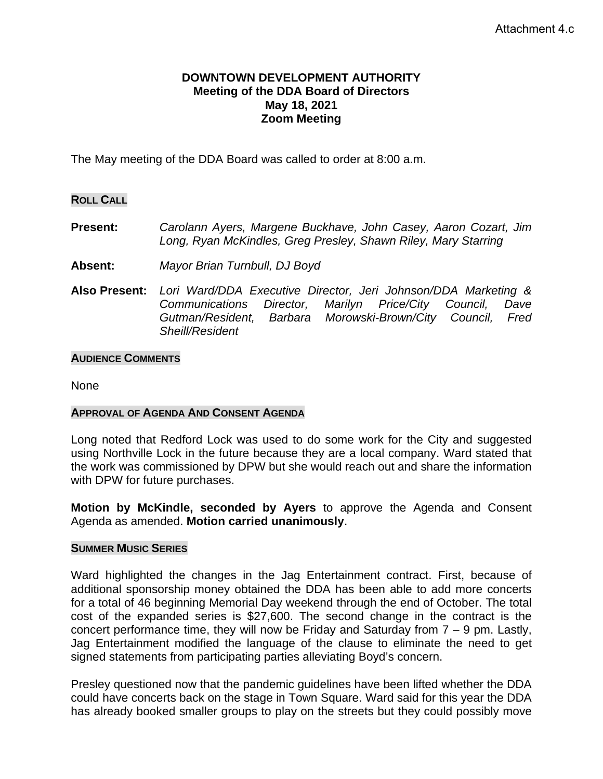### **DOWNTOWN DEVELOPMENT AUTHORITY Meeting of the DDA Board of Directors May 18, 2021 Zoom Meeting**

The May meeting of the DDA Board was called to order at 8:00 a.m.

### **ROLL CALL**

# **Present:** *Carolann Ayers, Margene Buckhave, John Casey, Aaron Cozart, Jim Long, Ryan McKindles, Greg Presley, Shawn Riley, Mary Starring*

- **Absent:** *Mayor Brian Turnbull, DJ Boyd*
- **Also Present:** *Lori Ward/DDA Executive Director, Jeri Johnson/DDA Marketing & Communications Director, Marilyn Price/City Council, Dave Gutman/Resident, Barbara Morowski-Brown/City Council, Fred Sheill/Resident*

### **AUDIENCE COMMENTS**

None

### **APPROVAL OF AGENDA AND CONSENT AGENDA**

Long noted that Redford Lock was used to do some work for the City and suggested using Northville Lock in the future because they are a local company. Ward stated that the work was commissioned by DPW but she would reach out and share the information with DPW for future purchases.

**Motion by McKindle, seconded by Ayers** to approve the Agenda and Consent Agenda as amended. **Motion carried unanimously**.

#### **SUMMER MUSIC SERIES**

Ward highlighted the changes in the Jag Entertainment contract. First, because of additional sponsorship money obtained the DDA has been able to add more concerts for a total of 46 beginning Memorial Day weekend through the end of October. The total cost of the expanded series is \$27,600. The second change in the contract is the concert performance time, they will now be Friday and Saturday from  $7 - 9$  pm. Lastly, Jag Entertainment modified the language of the clause to eliminate the need to get signed statements from participating parties alleviating Boyd's concern.

Presley questioned now that the pandemic guidelines have been lifted whether the DDA could have concerts back on the stage in Town Square. Ward said for this year the DDA has already booked smaller groups to play on the streets but they could possibly move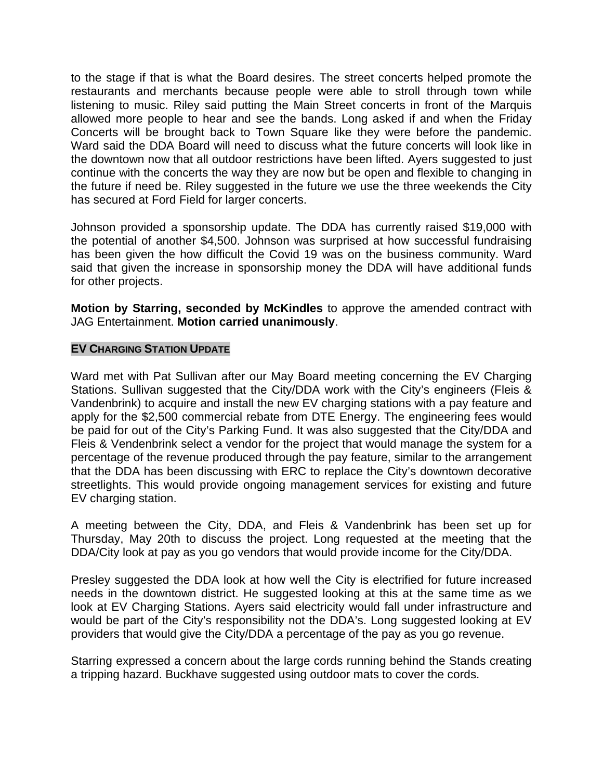to the stage if that is what the Board desires. The street concerts helped promote the restaurants and merchants because people were able to stroll through town while listening to music. Riley said putting the Main Street concerts in front of the Marquis allowed more people to hear and see the bands. Long asked if and when the Friday Concerts will be brought back to Town Square like they were before the pandemic. Ward said the DDA Board will need to discuss what the future concerts will look like in the downtown now that all outdoor restrictions have been lifted. Ayers suggested to just continue with the concerts the way they are now but be open and flexible to changing in the future if need be. Riley suggested in the future we use the three weekends the City has secured at Ford Field for larger concerts.

Johnson provided a sponsorship update. The DDA has currently raised \$19,000 with the potential of another \$4,500. Johnson was surprised at how successful fundraising has been given the how difficult the Covid 19 was on the business community. Ward said that given the increase in sponsorship money the DDA will have additional funds for other projects.

**Motion by Starring, seconded by McKindles** to approve the amended contract with JAG Entertainment. **Motion carried unanimously**.

## **EV CHARGING STATION UPDATE**

Ward met with Pat Sullivan after our May Board meeting concerning the EV Charging Stations. Sullivan suggested that the City/DDA work with the City's engineers (Fleis & Vandenbrink) to acquire and install the new EV charging stations with a pay feature and apply for the \$2,500 commercial rebate from DTE Energy. The engineering fees would be paid for out of the City's Parking Fund. It was also suggested that the City/DDA and Fleis & Vendenbrink select a vendor for the project that would manage the system for a percentage of the revenue produced through the pay feature, similar to the arrangement that the DDA has been discussing with ERC to replace the City's downtown decorative streetlights. This would provide ongoing management services for existing and future EV charging station.

A meeting between the City, DDA, and Fleis & Vandenbrink has been set up for Thursday, May 20th to discuss the project. Long requested at the meeting that the DDA/City look at pay as you go vendors that would provide income for the City/DDA.

Presley suggested the DDA look at how well the City is electrified for future increased needs in the downtown district. He suggested looking at this at the same time as we look at EV Charging Stations. Ayers said electricity would fall under infrastructure and would be part of the City's responsibility not the DDA's. Long suggested looking at EV providers that would give the City/DDA a percentage of the pay as you go revenue.

Starring expressed a concern about the large cords running behind the Stands creating a tripping hazard. Buckhave suggested using outdoor mats to cover the cords.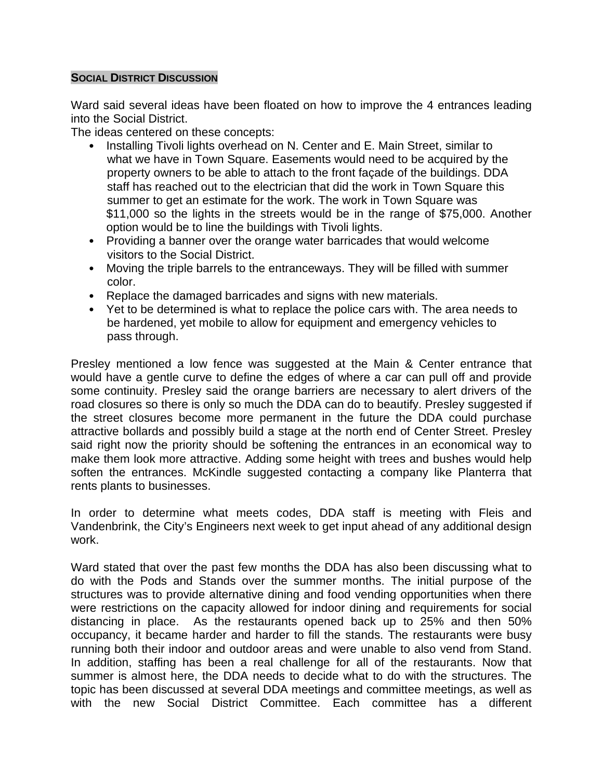## **SOCIAL DISTRICT DISCUSSION**

Ward said several ideas have been floated on how to improve the 4 entrances leading into the Social District.

The ideas centered on these concepts:

- Installing Tivoli lights overhead on N. Center and E. Main Street, similar to what we have in Town Square. Easements would need to be acquired by the property owners to be able to attach to the front façade of the buildings. DDA staff has reached out to the electrician that did the work in Town Square this summer to get an estimate for the work. The work in Town Square was \$11,000 so the lights in the streets would be in the range of \$75,000. Another option would be to line the buildings with Tivoli lights.
- Providing a banner over the orange water barricades that would welcome visitors to the Social District.
- Moving the triple barrels to the entranceways. They will be filled with summer color.
- Replace the damaged barricades and signs with new materials.
- Yet to be determined is what to replace the police cars with. The area needs to be hardened, yet mobile to allow for equipment and emergency vehicles to pass through.

Presley mentioned a low fence was suggested at the Main & Center entrance that would have a gentle curve to define the edges of where a car can pull off and provide some continuity. Presley said the orange barriers are necessary to alert drivers of the road closures so there is only so much the DDA can do to beautify. Presley suggested if the street closures become more permanent in the future the DDA could purchase attractive bollards and possibly build a stage at the north end of Center Street. Presley said right now the priority should be softening the entrances in an economical way to make them look more attractive. Adding some height with trees and bushes would help soften the entrances. McKindle suggested contacting a company like Planterra that rents plants to businesses.

In order to determine what meets codes, DDA staff is meeting with Fleis and Vandenbrink, the City's Engineers next week to get input ahead of any additional design work.

Ward stated that over the past few months the DDA has also been discussing what to do with the Pods and Stands over the summer months. The initial purpose of the structures was to provide alternative dining and food vending opportunities when there were restrictions on the capacity allowed for indoor dining and requirements for social distancing in place. As the restaurants opened back up to 25% and then 50% occupancy, it became harder and harder to fill the stands. The restaurants were busy running both their indoor and outdoor areas and were unable to also vend from Stand. In addition, staffing has been a real challenge for all of the restaurants. Now that summer is almost here, the DDA needs to decide what to do with the structures. The topic has been discussed at several DDA meetings and committee meetings, as well as with the new Social District Committee. Each committee has a different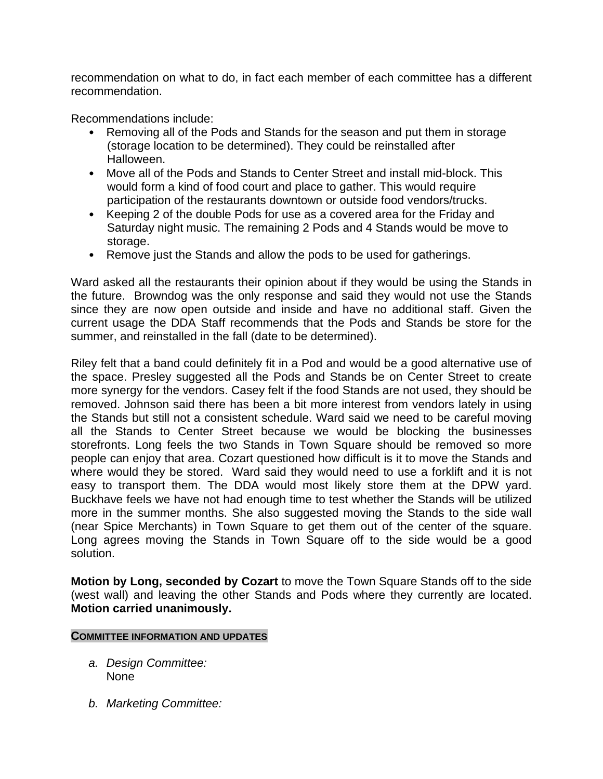recommendation on what to do, in fact each member of each committee has a different recommendation.

Recommendations include:

- Removing all of the Pods and Stands for the season and put them in storage (storage location to be determined). They could be reinstalled after Halloween.
- Move all of the Pods and Stands to Center Street and install mid-block. This would form a kind of food court and place to gather. This would require participation of the restaurants downtown or outside food vendors/trucks.
- Keeping 2 of the double Pods for use as a covered area for the Friday and Saturday night music. The remaining 2 Pods and 4 Stands would be move to storage.
- Remove just the Stands and allow the pods to be used for gatherings.

Ward asked all the restaurants their opinion about if they would be using the Stands in the future. Browndog was the only response and said they would not use the Stands since they are now open outside and inside and have no additional staff. Given the current usage the DDA Staff recommends that the Pods and Stands be store for the summer, and reinstalled in the fall (date to be determined).

Riley felt that a band could definitely fit in a Pod and would be a good alternative use of the space. Presley suggested all the Pods and Stands be on Center Street to create more synergy for the vendors. Casey felt if the food Stands are not used, they should be removed. Johnson said there has been a bit more interest from vendors lately in using the Stands but still not a consistent schedule. Ward said we need to be careful moving all the Stands to Center Street because we would be blocking the businesses storefronts. Long feels the two Stands in Town Square should be removed so more people can enjoy that area. Cozart questioned how difficult is it to move the Stands and where would they be stored. Ward said they would need to use a forklift and it is not easy to transport them. The DDA would most likely store them at the DPW yard. Buckhave feels we have not had enough time to test whether the Stands will be utilized more in the summer months. She also suggested moving the Stands to the side wall (near Spice Merchants) in Town Square to get them out of the center of the square. Long agrees moving the Stands in Town Square off to the side would be a good solution.

**Motion by Long, seconded by Cozart** to move the Town Square Stands off to the side (west wall) and leaving the other Stands and Pods where they currently are located. **Motion carried unanimously.**

### **COMMITTEE INFORMATION AND UPDATES**

- *a. Design Committee:* None
- *b. Marketing Committee:*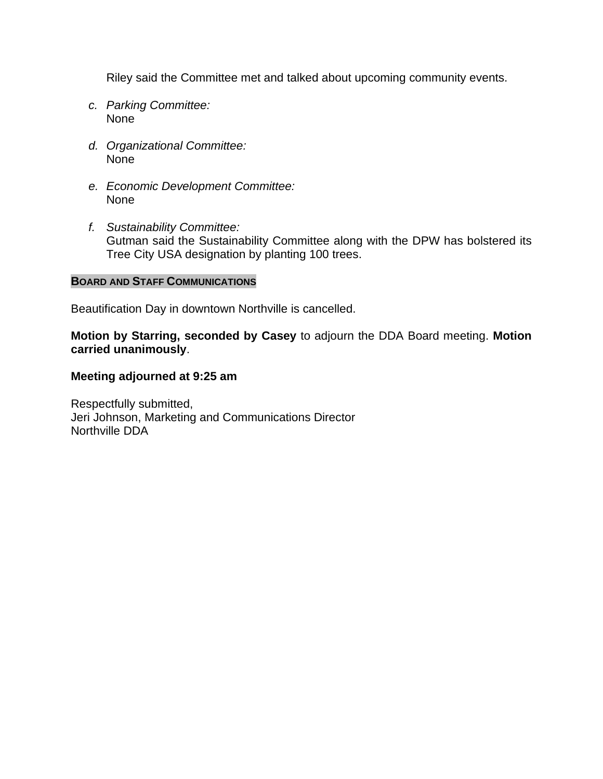Riley said the Committee met and talked about upcoming community events.

- *c. Parking Committee:* None
- *d. Organizational Committee:* None
- *e. Economic Development Committee:* None
- *f. Sustainability Committee:* Gutman said the Sustainability Committee along with the DPW has bolstered its Tree City USA designation by planting 100 trees.

### **BOARD AND STAFF COMMUNICATIONS**

Beautification Day in downtown Northville is cancelled.

**Motion by Starring, seconded by Casey** to adjourn the DDA Board meeting. **Motion carried unanimously**.

## **Meeting adjourned at 9:25 am**

Respectfully submitted, Jeri Johnson, Marketing and Communications Director Northville DDA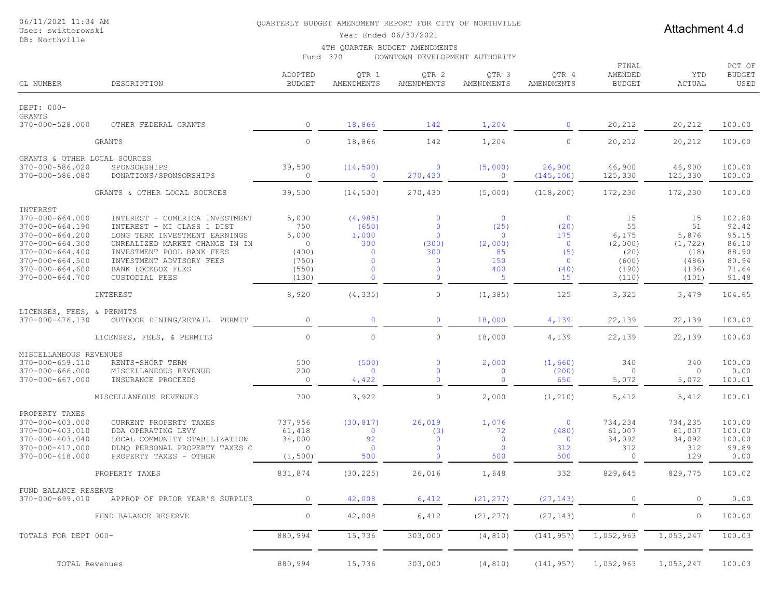#### User: swiktorowski DB: Northville

#### QUARTERLY BUDGET AMENDMENT REPORT FOR CITY OF NORTHVILLE

## Attachment 4.d

Year Ended 06/30/2021

#### 4TH QUARTER BUDGET AMENDMENTS

Fund 370 DOWNTOWN DEVELOPMENT AUTHORITY

| GL NUMBER                                                                                                                                                                                | DESCRIPTION                                                                                                                                                                                                                            | ADOPTED<br><b>BUDGET</b>                                             | QTR 1<br>AMENDMENTS                                                                                | QTR 2<br>AMENDMENTS                                                                                        | QTR 3<br>AMENDMENTS                                                      | QTR 4<br>AMENDMENTS                                                                    | FINAL<br>AMENDED<br><b>BUDGET</b>                               | YTD<br><b>ACTUAL</b>                                             | PCT OF<br><b>BUDGET</b><br>USED                                       |
|------------------------------------------------------------------------------------------------------------------------------------------------------------------------------------------|----------------------------------------------------------------------------------------------------------------------------------------------------------------------------------------------------------------------------------------|----------------------------------------------------------------------|----------------------------------------------------------------------------------------------------|------------------------------------------------------------------------------------------------------------|--------------------------------------------------------------------------|----------------------------------------------------------------------------------------|-----------------------------------------------------------------|------------------------------------------------------------------|-----------------------------------------------------------------------|
| DEPT: 000-                                                                                                                                                                               |                                                                                                                                                                                                                                        |                                                                      |                                                                                                    |                                                                                                            |                                                                          |                                                                                        |                                                                 |                                                                  |                                                                       |
| <b>GRANTS</b><br>370-000-528.000                                                                                                                                                         | OTHER FEDERAL GRANTS                                                                                                                                                                                                                   | $\circ$                                                              | 18,866                                                                                             | 142                                                                                                        | 1,204                                                                    | $\mathbf{0}$                                                                           | 20,212                                                          | 20,212                                                           | 100.00                                                                |
|                                                                                                                                                                                          | <b>GRANTS</b>                                                                                                                                                                                                                          | $\circ$                                                              | 18,866                                                                                             | 142                                                                                                        | 1,204                                                                    | $\circ$                                                                                | 20,212                                                          | 20,212                                                           | 100.00                                                                |
|                                                                                                                                                                                          |                                                                                                                                                                                                                                        |                                                                      |                                                                                                    |                                                                                                            |                                                                          |                                                                                        |                                                                 |                                                                  |                                                                       |
| GRANTS & OTHER LOCAL SOURCES<br>370-000-586.020<br>370-000-586.080                                                                                                                       | SPONSORSHIPS<br>DONATIONS/SPONSORSHIPS                                                                                                                                                                                                 | 39,500<br>$\circ$                                                    | (14, 500)<br>$\mathbf{0}$                                                                          | $\overline{0}$<br>270,430                                                                                  | (5,000)<br>$\mathbf{0}$                                                  | 26,900<br>(145, 100)                                                                   | 46,900<br>125,330                                               | 46,900<br>125,330                                                | 100.00<br>100.00                                                      |
|                                                                                                                                                                                          | GRANTS & OTHER LOCAL SOURCES                                                                                                                                                                                                           | 39,500                                                               | (14, 500)                                                                                          | 270,430                                                                                                    | (5,000)                                                                  | (118, 200)                                                                             | 172,230                                                         | 172,230                                                          | 100.00                                                                |
| INTEREST<br>370-000-664.000<br>370-000-664.190<br>$370 - 000 - 664.200$<br>370-000-664.300<br>$370 - 000 - 664.400$<br>$370 - 000 - 664.500$<br>$370 - 000 - 664.600$<br>370-000-664.700 | INTEREST - COMERICA INVESTMENT<br>INTEREST - MI CLASS 1 DIST<br>LONG TERM INVESTMENT EARNINGS<br>UNREALIZED MARKET CHANGE IN IN<br>INVESTMENT POOL BANK FEES<br>INVESTMENT ADVISORY FEES<br>BANK LOCKBOX FEES<br><b>CUSTODIAL FEES</b> | 5,000<br>750<br>5,000<br>$\circ$<br>(400)<br>(750)<br>(550)<br>(130) | (4, 985)<br>(650)<br>1,000<br>300<br>$\mathbf 0$<br>$\mathbf{0}$<br>$\mathbf{0}$<br>$\overline{0}$ | $\mathbf 0$<br>$\mathbf{0}$<br>$\mathbf{0}$<br>(300)<br>300<br>$\mathbf{0}$<br>$\mathbf 0$<br>$\mathbf{0}$ | $\mathbf{0}$<br>(25)<br>$\mathbf{0}$<br>(2,000)<br>85<br>150<br>400<br>5 | $\overline{0}$<br>(20)<br>175<br>$\overline{0}$<br>(5)<br>$\overline{0}$<br>(40)<br>15 | 15<br>55<br>6,175<br>(2,000)<br>(20)<br>(600)<br>(190)<br>(110) | 15<br>51<br>5,876<br>(1, 722)<br>(18)<br>(486)<br>(136)<br>(101) | 102.80<br>92.42<br>95.15<br>86.10<br>88.90<br>80.94<br>71.64<br>91.48 |
|                                                                                                                                                                                          | INTEREST                                                                                                                                                                                                                               | 8,920                                                                | (4, 335)                                                                                           | $\circ$                                                                                                    | (1, 385)                                                                 | 125                                                                                    | 3,325                                                           | 3,479                                                            | 104.65                                                                |
| LICENSES, FEES, & PERMITS<br>370-000-476.130                                                                                                                                             | OUTDOOR DINING/RETAIL<br>PERMIT                                                                                                                                                                                                        | $\circ$                                                              | $\mathbf{0}$                                                                                       | $\mathbf 0$                                                                                                | 18,000                                                                   | 4,139                                                                                  | 22,139                                                          | 22,139                                                           | 100.00                                                                |
|                                                                                                                                                                                          |                                                                                                                                                                                                                                        |                                                                      |                                                                                                    |                                                                                                            |                                                                          |                                                                                        |                                                                 |                                                                  |                                                                       |
|                                                                                                                                                                                          | LICENSES, FEES, & PERMITS                                                                                                                                                                                                              | $\circ$                                                              | $\circ$                                                                                            | $\mathbb O$                                                                                                | 18,000                                                                   | 4,139                                                                                  | 22,139                                                          | 22,139                                                           | 100.00                                                                |
| MISCELLANEOUS REVENUES<br>370-000-659.110<br>$370 - 000 - 666.000$<br>$370 - 000 - 667.000$                                                                                              | RENTS-SHORT TERM<br>MISCELLANEOUS REVENUE<br>INSURANCE PROCEEDS                                                                                                                                                                        | 500<br>200<br>$\circ$                                                | (500)<br>$\mathbf{0}$<br>4,422                                                                     | $\mathbf 0$<br>$\mathbf 0$<br>$\mathbf 0$                                                                  | 2,000<br>$\mathbf 0$<br>$\mathbf{0}$                                     | (1, 660)<br>(200)<br>650                                                               | 340<br>0<br>5,072                                               | 340<br>$\circ$<br>5,072                                          | 100.00<br>0.00<br>100.01                                              |
|                                                                                                                                                                                          | MISCELLANEOUS REVENUES                                                                                                                                                                                                                 | 700                                                                  | 3,922                                                                                              | $\mathbb O$                                                                                                | 2,000                                                                    | (1, 210)                                                                               | 5,412                                                           | 5,412                                                            | 100.01                                                                |
| PROPERTY TAXES<br>370-000-403.000<br>370-000-403.010<br>370-000-403.040<br>370-000-417.000<br>370-000-418.000                                                                            | CURRENT PROPERTY TAXES<br>DDA OPERATING LEVY<br>LOCAL COMMUNITY STABILIZATION<br>DLNO PERSONAL PROPERTY TAXES C<br>PROPERTY TAXES - OTHER                                                                                              | 737,956<br>61,418<br>34,000<br>$\circ$<br>(1, 500)                   | (30, 817)<br>$\overline{0}$<br>92<br>$\mathbf{0}$<br>500                                           | 26,019<br>(3)<br>$\mathbf 0$<br>$\mathbf 0$<br>$\mathbf{0}$                                                | 1,076<br>72<br>$\circ$<br>$\mathbf{0}$<br>500                            | $\mathbf 0$<br>(480)<br>$\mathbf 0$<br>312<br>500                                      | 734,234<br>61,007<br>34,092<br>312<br>$\circ$                   | 734,235<br>61,007<br>34,092<br>312<br>129                        | 100.00<br>100.00<br>100.00<br>99.89<br>0.00                           |
|                                                                                                                                                                                          | PROPERTY TAXES                                                                                                                                                                                                                         | 831,874                                                              | (30, 225)                                                                                          | 26,016                                                                                                     | 1,648                                                                    | 332                                                                                    | 829,645                                                         | 829,775                                                          | 100.02                                                                |
| FUND BALANCE RESERVE<br>370-000-699.010                                                                                                                                                  | APPROP OF PRIOR YEAR'S SURPLUS                                                                                                                                                                                                         | $\circ$                                                              | 42,008                                                                                             | 6,412                                                                                                      | (21, 277)                                                                | (27, 143)                                                                              | $\circ$                                                         | 0                                                                | 0.00                                                                  |
|                                                                                                                                                                                          | FUND BALANCE RESERVE                                                                                                                                                                                                                   | $\circ$                                                              | 42,008                                                                                             | 6,412                                                                                                      | (21, 277)                                                                | (27, 143)                                                                              | $\circ$                                                         | $\circ$                                                          | 100.00                                                                |
| TOTALS FOR DEPT 000-                                                                                                                                                                     |                                                                                                                                                                                                                                        | 880,994                                                              | 15,736                                                                                             | 303,000                                                                                                    | (4, 810)                                                                 | (141, 957)                                                                             | 1,052,963                                                       | 1,053,247                                                        | 100.03                                                                |
| TOTAL Revenues                                                                                                                                                                           |                                                                                                                                                                                                                                        | 880,994                                                              | 15,736                                                                                             | 303,000                                                                                                    | (4, 810)                                                                 | (141, 957)                                                                             | 1,052,963                                                       | 1,053,247                                                        | 100.03                                                                |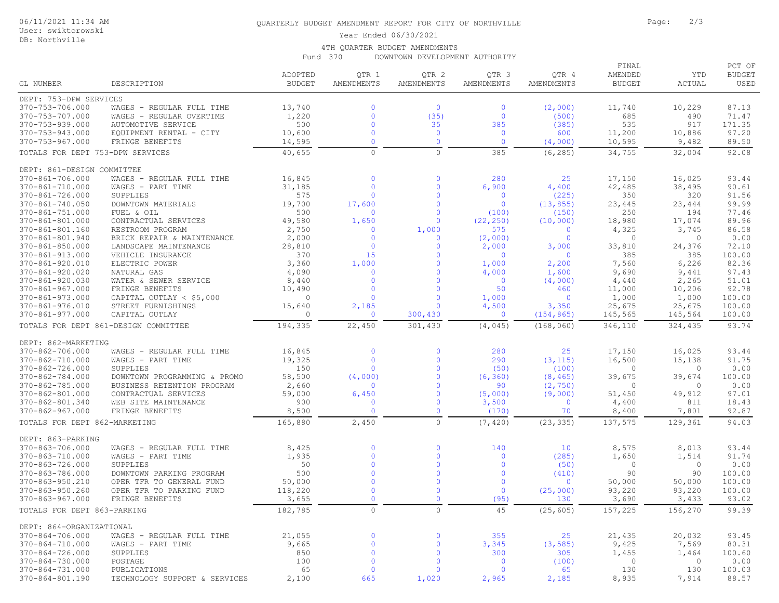#### User: swiktorowski

#### DB: Northville

#### QUARTERLY BUDGET AMENDMENT REPORT FOR CITY OF NORTHVILLE **FOR SAMILLY SECTION** Page: 2/3

#### Year Ended 06/30/2021

#### 4TH QUARTER BUDGET AMENDMENTS

Fund 370 DOWNTOWN DEVELOPMENT AUTHORITY

|                                          |                                                     |                  |                          |                              |                           |                         | FINAL             |                        | PCT OF           |
|------------------------------------------|-----------------------------------------------------|------------------|--------------------------|------------------------------|---------------------------|-------------------------|-------------------|------------------------|------------------|
|                                          |                                                     | ADOPTED          | QTR 1                    | QTR 2                        | QTR <sub>3</sub>          | QTR 4                   | AMENDED           | YTD                    | <b>BUDGET</b>    |
| GL NUMBER                                | DESCRIPTION                                         | <b>BUDGET</b>    | AMENDMENTS               | AMENDMENTS                   | AMENDMENTS                | AMENDMENTS              | <b>BUDGET</b>     | ACTUAL                 | USED             |
| DEPT: 753-DPW SERVICES                   |                                                     |                  |                          |                              |                           |                         |                   |                        |                  |
| 370-753-706.000                          | WAGES - REGULAR FULL TIME                           | 13,740           | $\Omega$                 | $\overline{0}$               | $\mathbf 0$               | (2,000)                 | 11,740            | 10,229                 | 87.13            |
| 370-753-707.000                          | WAGES - REGULAR OVERTIME                            | 1,220            | $\Omega$                 | (35)                         | $\circ$                   | (500)                   | 685               | 490                    | 71.47            |
| $370 - 753 - 939.000$                    | AUTOMOTIVE SERVICE                                  | 500              | $\Omega$                 | 35                           | 385                       | (385)                   | 535               | 917                    | 171.35           |
| 370-753-943.000                          | EQUIPMENT RENTAL - CITY                             | 10,600           | $\Omega$                 | $\overline{0}$               | $\mathbf 0$               | 600                     | 11,200            | 10,886                 | 97.20            |
| 370-753-967.000                          | FRINGE BENEFITS                                     | 14,595           | $\Omega$                 | $\mathbf{0}$                 | $\overline{0}$            | (4,000)                 | 10,595            | 9,482                  | 89.50            |
| TOTALS FOR DEPT 753-DPW SERVICES         |                                                     | 40,655           | $\circ$                  | $\circ$                      | 385                       | (6, 285)                | 34,755            | 32,004                 | 92.08            |
| DEPT: 861-DESIGN COMMITTEE               |                                                     |                  |                          |                              |                           |                         |                   |                        |                  |
| 370-861-706.000                          | WAGES - REGULAR FULL TIME                           | 16,845           | $\Omega$                 | $\mathbf 0$                  | 280                       | 25                      | 17,150            | 16,025                 | 93.44            |
| 370-861-710.000                          | WAGES - PART TIME                                   | 31,185           | $\Omega$                 | $\mathbf{0}$                 | 6,900                     | 4,400                   | 42,485            | 38,495                 | 90.61            |
| 370-861-726.000                          | SUPPLIES                                            | 575              | $\mathbf{0}$             | $\mathbf{0}$                 | $\mathbf 0$               | (225)                   | 350               | 320                    | 91.56            |
| 370-861-740.050                          | DOWNTOWN MATERIALS                                  | 19,700           | 17,600                   | $\mathbf{0}$                 | $\circ$                   | (13, 855)               | 23,445            | 23,444                 | 99.99            |
| 370-861-751.000                          | FUEL & OIL                                          | 500              | $\Omega$                 | $\mathbf 0$                  | (100)                     | (150)                   | 250               | 194                    | 77.46            |
| 370-861-801.000                          | CONTRACTUAL SERVICES                                | 49,580           | 1,650                    | $\mathbf{0}$                 | (22, 250)                 | (10, 000)               | 18,980            | 17,074                 | 89.96            |
| 370-861-801.160                          | RESTROOM PROGRAM                                    | 2,750            | $\mathbf{0}$             | 1,000                        | 575                       | $\overline{0}$          | 4,325             | 3,745                  | 86.58            |
| 370-861-801.940<br>$370 - 861 - 850.000$ | BRICK REPAIR & MAINTENANCE<br>LANDSCAPE MAINTENANCE | 2,000<br>28,810  | $\mathbf 0$<br>$\Omega$  | $\mathbf 0$<br>$\mathbf{0}$  | (2,000)                   | $\overline{0}$<br>3,000 | $\circ$<br>33,810 | $\mathbf{0}$<br>24,376 | 0.00<br>72.10    |
| 370-861-913.000                          | VEHICLE INSURANCE                                   | 370              | 15                       | $\Omega$                     | 2,000<br>$\mathbf 0$      | $\overline{0}$          | 385               | 385                    | 100.00           |
| 370-861-920.010                          | ELECTRIC POWER                                      | 3,360            | 1,000                    | $\mathbf{0}$                 | 1,000                     | 2,200                   | 7,560             | 6,226                  | 82.36            |
| 370-861-920.020                          | NATURAL GAS                                         | 4,090            | $\mathbf{0}$             | $\mathbf{0}$                 | 4,000                     | 1,600                   | 9,690             | 9,441                  | 97.43            |
| 370-861-920.030                          | WATER & SEWER SERVICE                               | 8,440            | $\mathbf{0}$             | $\mathbf{0}$                 | $\mathbf{0}$              | (4,000)                 | 4,440             | 2,265                  | 51.01            |
| 370-861-967.000                          | FRINGE BENEFITS                                     | 10,490           | $\mathbf{0}$             | $\mathbf{0}$                 | 50                        | 460                     | 11,000            | 10,206                 | 92.78            |
| 370-861-973.000                          | CAPITAL OUTLAY $<$ \$5,000                          | $\circ$          | $\Omega$                 | $\mathbf{0}$                 | 1,000                     | $\overline{0}$          | 1,000             | 1,000                  | 100.00           |
| 370-861-976.010                          | STREET FURNISHINGS                                  | 15,640           | 2,185                    | $\mathbf{0}$                 | 4,500                     | 3,350                   | 25,675            | 25,675                 | 100.00           |
| 370-861-977.000                          | CAPITAL OUTLAY                                      | $\circ$          | $\mathbf{0}$             | 300,430                      | $\mathbf{0}$              | (154, 865)              | 145,565           | 145,564                | 100.00           |
|                                          | TOTALS FOR DEPT 861-DESIGN COMMITTEE                | 194,335          | 22,450                   | 301,430                      | (4, 045)                  | (168, 060)              | 346,110           | 324,435                | 93.74            |
| DEPT: 862-MARKETING                      |                                                     |                  |                          |                              |                           |                         |                   |                        |                  |
| 370-862-706.000                          | WAGES - REGULAR FULL TIME                           | 16,845           | $\mathbf{0}$             | $\mathbf 0$                  | 280                       | 25                      | 17,150            | 16,025                 | 93.44            |
| 370-862-710.000                          | WAGES - PART TIME                                   | 19,325           | $\mathbf{0}$             | $\mathbf{0}$                 | 290                       | (3, 115)                | 16,500            | 15,138                 | 91.75            |
| 370-862-726.000                          | SUPPLIES                                            | 150              | $\mathbf{0}$             | $\mathbf{0}$                 | (50)                      | (100)                   | 0                 | $\mathbf{0}$           | 0.00             |
| 370-862-784.000                          | DOWNTOWN PROGRAMMING & PROMO                        | 58,500           | (4,000)                  | $\mathbf{0}$                 | (6, 360)                  | (8, 465)                | 39,675            | 39,674                 | 100.00           |
| 370-862-785.000                          | BUSINESS RETENTION PROGRAM                          | 2,660            | $\mathbf{0}$             | $\mathbf{0}$                 | 90                        | (2, 750)                | 0                 | $\mathbf{0}$           | 0.00             |
| 370-862-801.000                          | CONTRACTUAL SERVICES                                | 59,000           | 6,450                    | $\mathbf 0$                  | (5,000)                   | (9,000)                 | 51,450            | 49,912                 | 97.01            |
| 370-862-801.340                          | WEB SITE MAINTENANCE                                | 900              | $\mathbf 0$              | $\mathbf 0$                  | 3,500                     | $\mathbf 0$             | 4,400             | 811                    | 18.43            |
| 370-862-967.000                          | FRINGE BENEFITS                                     | 8,500            | $\Omega$                 | $\mathbf{0}$                 | (170)                     | 70                      | 8,400             | 7,801                  | 92.87            |
| TOTALS FOR DEPT 862-MARKETING            |                                                     | 165,880          | 2,450                    | $\circ$                      | (7, 420)                  | (23, 335)               | 137,575           | 129,361                | 94.03            |
| DEPT: 863-PARKING                        |                                                     |                  |                          |                              |                           |                         |                   |                        |                  |
| 370-863-706.000                          | WAGES - REGULAR FULL TIME                           | 8,425            | $\mathbf{0}$             | $\mathbf{0}$                 | 140                       | 10                      | 8,575             | 8,013                  | 93.44            |
| 370-863-710.000                          | WAGES - PART TIME                                   | 1,935            | $\Omega$                 | $\mathbf 0$                  | $\mathbf 0$               | (285)                   | 1,650             | 1,514                  | 91.74            |
| 370-863-726.000                          | SUPPLIES                                            | 50               | $\Omega$                 | $\Omega$                     | $\overline{0}$            | (50)                    | $\circ$           | $\mathbf{0}$           | 0.00             |
| 370-863-786.000                          | DOWNTOWN PARKING PROGRAM                            | 500              | $\Omega$                 | $\mathbf{0}$                 | $\overline{0}$            | (410)                   | 90                | 90                     | 100.00           |
| 370-863-950.210                          | OPER TFR TO GENERAL FUND                            | 50,000           | $\Omega$<br>$\Omega$     | $\mathbf{0}$<br>$\mathbf{0}$ | $\overline{0}$<br>$\circ$ | $\circ$                 | 50,000            | 50,000                 | 100.00<br>100.00 |
| 370-863-950.260<br>370-863-967.000       | OPER TFR TO PARKING FUND<br>FRINGE BENEFITS         | 118,220<br>3,655 | $\Omega$                 | $\Omega$                     | (95)                      | (25,000)<br>130         | 93,220<br>3,690   | 93,220<br>3,433        | 93.02            |
| TOTALS FOR DEPT 863-PARKING              |                                                     | 182,785          | $\circ$                  | $\circ$                      | 45                        | (25, 605)               | 157,225           | 156,270                | 99.39            |
|                                          |                                                     |                  |                          |                              |                           |                         |                   |                        |                  |
| DEPT: 864-ORGANIZATIONAL                 |                                                     |                  |                          |                              |                           |                         |                   |                        |                  |
| 370-864-706.000                          | WAGES - REGULAR FULL TIME                           | 21,055           | $\mathbf{0}$             | $\mathbf 0$                  | 355                       | 25                      | 21,435            | 20,032                 | 93.45            |
| 370-864-710.000                          | WAGES - PART TIME                                   | 9,665            | $\mathbf{0}$<br>$\Omega$ | $\mathbf 0$                  | 3,345                     | (3, 585)                | 9,425             | 7,569                  | 80.31            |
| 370-864-726.000<br>370-864-730.000       | SUPPLIES<br>POSTAGE                                 | 850<br>100       | $\mathbf 0$              | $\mathbf 0$<br>$\mathbf 0$   | 300<br>$\mathbf 0$        | 305<br>(100)            | 1,455<br>$\circ$  | 1,464<br>$\circ$       | 100.60<br>0.00   |
| 370-864-731.000                          | PUBLICATIONS                                        | 65               | $\mathbf 0$              | $\mathbf 0$                  | $\mathbf{0}$              | 65                      | 130               | 130                    | 100.03           |
| 370-864-801.190                          | TECHNOLOGY SUPPORT & SERVICES                       | 2,100            | 665                      | 1,020                        | 2,965                     | 2,185                   | 8,935             | 7,914                  | 88.57            |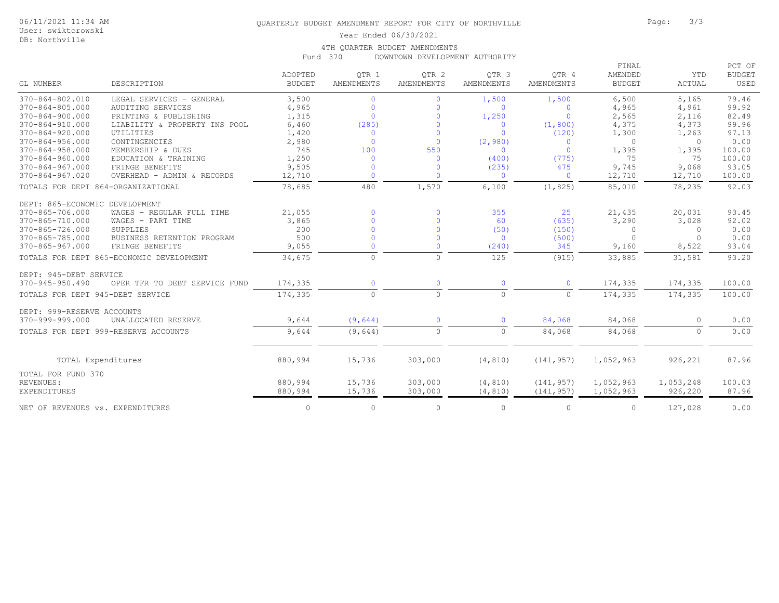User: swiktorowski DB: Northville

#### Year Ended 06/30/2021

#### 4TH QUARTER BUDGET AMENDMENTS

Fund 370 DOWNTOWN DEVELOPMENT AUTHORITY

|                                    |                                          |                          |                     |                                       |                                |                     | PCT OF<br>FINAL          |                             |                       |
|------------------------------------|------------------------------------------|--------------------------|---------------------|---------------------------------------|--------------------------------|---------------------|--------------------------|-----------------------------|-----------------------|
| GL NUMBER                          | DESCRIPTION                              | ADOPTED<br><b>BUDGET</b> | OTR 1<br>AMENDMENTS | OTR <sub>2</sub><br><b>AMENDMENTS</b> | OTR <sub>3</sub><br>AMENDMENTS | OTR 4<br>AMENDMENTS | AMENDED<br><b>BUDGET</b> | <b>YTD</b><br><b>ACTUAL</b> | <b>BUDGET</b><br>USED |
| 370-864-802.010                    | LEGAL SERVICES - GENERAL                 | 3,500                    | $\Omega$            | $\mathbf{0}$                          | 1,500                          | 1,500               | 6,500                    | 5,165                       | 79.46                 |
| 370-864-805.000                    | AUDITING SERVICES                        | 4,965                    | $\mathbf{0}$        | $\mathbf{0}$                          | $\Omega$                       | $\mathbf{0}$        | 4,965                    | 4,961                       | 99.92                 |
| $370 - 864 - 900.000$              | PRINTING & PUBLISHING                    | 1,315                    | $\mathbf{0}$        | $\mathbf{0}$                          | 1,250                          | $\Omega$            | 2,565                    | 2,116                       | 82.49                 |
| $370 - 864 - 910.000$              | LIABILITY & PROPERTY INS POOL            | 6,460                    | (285)               | $\mathbf{0}$                          | $\circ$                        | (1, 800)            | 4,375                    | 4,373                       | 99.96                 |
| $370 - 864 - 920.000$              | UTILITIES                                | 1,420                    | $\overline{0}$      | $\Omega$                              | $\Omega$                       | (120)               | 1,300                    | 1,263                       | 97.13                 |
| $370 - 864 - 956.000$              | CONTINGENCIES                            | 2,980                    | $\Omega$            | $\mathbf{0}$                          | (2, 980)                       | $\mathbf{0}$        | $\bigcap$                | $\Omega$                    | 0.00                  |
| $370 - 864 - 958.000$              | MEMBERSHIP & DUES                        | 745                      | 100                 | 550                                   | $\Omega$                       | $\Omega$            | 1,395                    | 1,395                       | 100.00                |
| 370-864-960.000                    | EDUCATION & TRAINING                     | 1,250                    | $\overline{0}$      | $\mathbf{0}$                          | (400)                          | (775)               | 75                       | 75                          | 100.00                |
| 370-864-967.000                    | FRINGE BENEFITS                          | 9,505                    | $\mathbf{0}$        | $\mathbf{0}$                          | (235)                          | 475                 | 9,745                    | 9,068                       | 93.05                 |
| 370-864-967.020                    | OVERHEAD - ADMIN & RECORDS               | 12,710                   | $\Omega$            | $\Omega$                              | $\Omega$                       | $\Omega$            | 12,710                   | 12,710                      | 100.00                |
| TOTALS FOR DEPT 864-ORGANIZATIONAL |                                          | 78,685                   | 480                 | 1,570                                 | 6,100                          | (1, 825)            | 85,010                   | 78,235                      | 92.03                 |
| DEPT: 865-ECONOMIC DEVELOPMENT     |                                          |                          |                     |                                       |                                |                     |                          |                             |                       |
| 370-865-706.000                    | WAGES - REGULAR FULL TIME                | 21,055                   | $\mathbf 0$         | $\mathbf 0$                           | 355                            | 25                  | 21,435                   | 20,031                      | 93.45                 |
| 370-865-710.000                    | WAGES - PART TIME                        | 3,865                    | $\Omega$            | $\Omega$                              | 60                             | (635)               | 3,290                    | 3,028                       | 92.02                 |
| 370-865-726.000                    | SUPPLIES                                 | 200                      | $\mathbf{0}$        | $\mathbf{0}$                          | (50)                           | (150)               | $\Omega$                 | $\mathbf{0}$                | 0.00                  |
| 370-865-785.000                    | BUSINESS RETENTION PROGRAM               | 500                      | $\Omega$            | $\Omega$                              | $\circ$                        | (500)               | $\cap$                   | $\cap$                      | 0.00                  |
| $370 - 865 - 967.000$              | FRINGE BENEFITS                          | 9,055                    | $\Omega$            | $\mathbf{0}$                          | (240)                          | 345                 | 9,160                    | 8,522                       | 93.04                 |
|                                    | TOTALS FOR DEPT 865-ECONOMIC DEVELOPMENT | 34,675                   | $\Omega$            | $\circ$                               | 125                            | (915)               | 33,885                   | 31,581                      | 93.20                 |
| DEPT: 945-DEBT SERVICE             |                                          |                          |                     |                                       |                                |                     |                          |                             |                       |
| $370 - 945 - 950.490$              | OPER TFR TO DEBT SERVICE FUND            | 174,335                  | $\mathbf{0}$        | $\mathbf 0$                           | $\Omega$                       | $\mathbf{0}$        | 174,335                  | 174,335                     | 100.00                |
| TOTALS FOR DEPT 945-DEBT SERVICE   |                                          | 174,335                  | $\circ$             | $\circ$                               | $\circ$                        | $\circ$             | 174,335                  | 174,335                     | 100.00                |
| DEPT: 999-RESERVE ACCOUNTS         |                                          |                          |                     |                                       |                                |                     |                          |                             |                       |
| 370-999-999.000                    | UNALLOCATED RESERVE                      | 9,644                    | (9,644)             | $\mathbf{0}$                          | $\Omega$                       | 84,068              | 84,068                   | $\Omega$                    | 0.00                  |
|                                    | TOTALS FOR DEPT 999-RESERVE ACCOUNTS     | 9,644                    | (9,644)             | $\circ$                               | $\Omega$                       | 84,068              | 84,068                   | $\Omega$                    | 0.00                  |
| TOTAL Expenditures                 |                                          | 880,994                  | 15,736              | 303,000                               | (4, 810)                       | (141, 957)          | 1,052,963                | 926,221                     | 87.96                 |
|                                    |                                          |                          |                     |                                       |                                |                     |                          |                             |                       |
| TOTAL FOR FUND 370                 |                                          |                          |                     |                                       |                                |                     |                          |                             |                       |
| REVENUES:                          |                                          | 880,994                  | 15,736              | 303,000                               | (4, 810)                       | (141, 957)          | 1,052,963                | 1,053,248                   | 100.03                |
| <b>EXPENDITURES</b>                |                                          | 880,994                  | 15,736              | 303,000                               | (4, 810)                       | (141, 957)          | 1,052,963                | 926,220                     | 87.96                 |
| NET OF REVENUES vs. EXPENDITURES   |                                          | $\circ$                  | $\circ$             | 0                                     | $\circ$                        | $\circ$             | $\Omega$                 | 127,028                     | 0.00                  |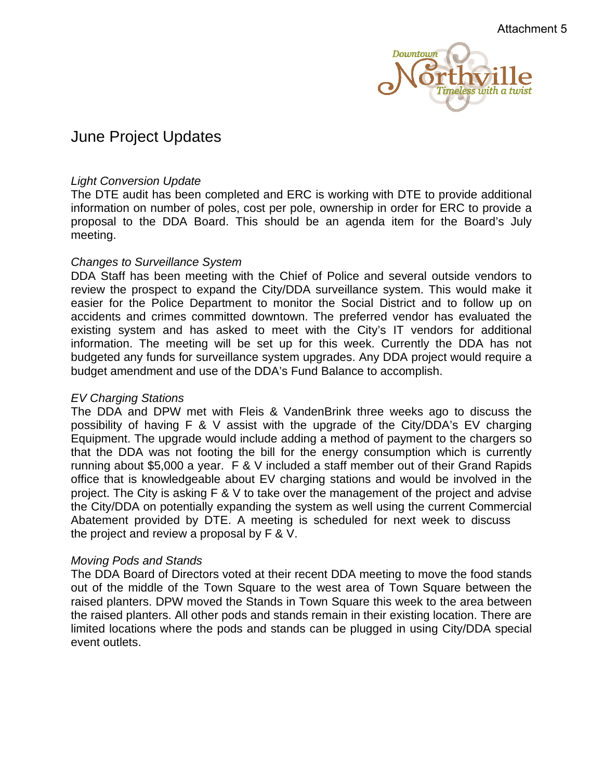

# June Project Updates

## *Light Conversion Update*

The DTE audit has been completed and ERC is working with DTE to provide additional information on number of poles, cost per pole, ownership in order for ERC to provide a proposal to the DDA Board. This should be an agenda item for the Board's July meeting.

## *Changes to Surveillance System*

DDA Staff has been meeting with the Chief of Police and several outside vendors to review the prospect to expand the City/DDA surveillance system. This would make it easier for the Police Department to monitor the Social District and to follow up on accidents and crimes committed downtown. The preferred vendor has evaluated the existing system and has asked to meet with the City's IT vendors for additional information. The meeting will be set up for this week. Currently the DDA has not budgeted any funds for surveillance system upgrades. Any DDA project would require a budget amendment and use of the DDA's Fund Balance to accomplish.

## *EV Charging Stations*

The DDA and DPW met with Fleis & VandenBrink three weeks ago to discuss the possibility of having F & V assist with the upgrade of the City/DDA's EV charging Equipment. The upgrade would include adding a method of payment to the chargers so that the DDA was not footing the bill for the energy consumption which is currently running about \$5,000 a year. F & V included a staff member out of their Grand Rapids office that is knowledgeable about EV charging stations and would be involved in the project. The City is asking F & V to take over the management of the project and advise the City/DDA on potentially expanding the system as well using the current Commercial Abatement provided by DTE. A meeting is scheduled for next week to discuss the project and review a proposal by F & V.

### *Moving Pods and Stands*

The DDA Board of Directors voted at their recent DDA meeting to move the food stands out of the middle of the Town Square to the west area of Town Square between the raised planters. DPW moved the Stands in Town Square this week to the area between the raised planters. All other pods and stands remain in their existing location. There are limited locations where the pods and stands can be plugged in using City/DDA special event outlets.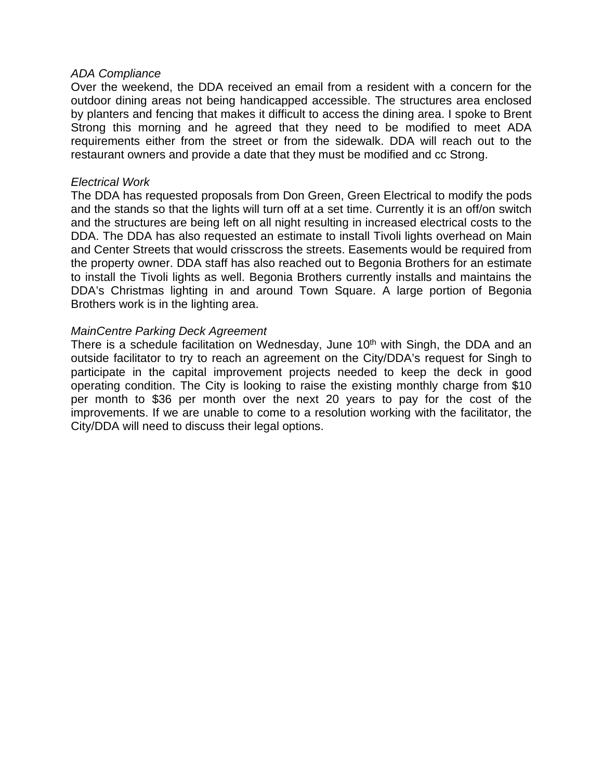#### *ADA Compliance*

Over the weekend, the DDA received an email from a resident with a concern for the outdoor dining areas not being handicapped accessible. The structures area enclosed by planters and fencing that makes it difficult to access the dining area. I spoke to Brent Strong this morning and he agreed that they need to be modified to meet ADA requirements either from the street or from the sidewalk. DDA will reach out to the restaurant owners and provide a date that they must be modified and cc Strong.

#### *Electrical Work*

The DDA has requested proposals from Don Green, Green Electrical to modify the pods and the stands so that the lights will turn off at a set time. Currently it is an off/on switch and the structures are being left on all night resulting in increased electrical costs to the DDA. The DDA has also requested an estimate to install Tivoli lights overhead on Main and Center Streets that would crisscross the streets. Easements would be required from the property owner. DDA staff has also reached out to Begonia Brothers for an estimate to install the Tivoli lights as well. Begonia Brothers currently installs and maintains the DDA's Christmas lighting in and around Town Square. A large portion of Begonia Brothers work is in the lighting area.

### *MainCentre Parking Deck Agreement*

There is a schedule facilitation on Wednesday, June 10<sup>th</sup> with Singh, the DDA and an outside facilitator to try to reach an agreement on the City/DDA's request for Singh to participate in the capital improvement projects needed to keep the deck in good operating condition. The City is looking to raise the existing monthly charge from \$10 per month to \$36 per month over the next 20 years to pay for the cost of the improvements. If we are unable to come to a resolution working with the facilitator, the City/DDA will need to discuss their legal options.